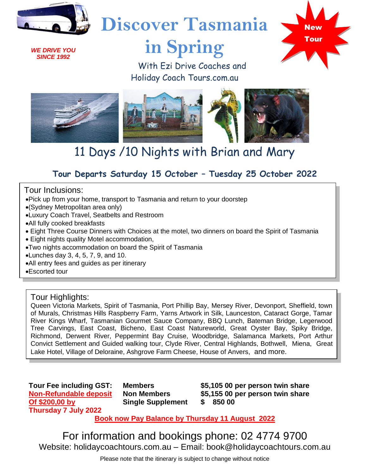

*WE DRIVE YOU SINCE 1992*

# **Discover Tasmania**

# **in Spring**



 With Ezi Drive Coaches and Holiday Coach Tours.com.au



# 11 Days /10 Nights with Brian and Mary

# **Tour Departs Saturday 15 October – Tuesday 25 October 2022**

Tour Inclusions:

- •Pick up from your home, transport to Tasmania and return to your doorstep
- •(Sydney Metropolitan area only)
- •Luxury Coach Travel, Seatbelts and Restroom
- •All fully cooked breakfasts
- Eight Three Course Dinners with Choices at the motel, two dinners on board the Spirit of Tasmania
- Eight nights quality Motel accommodation,
- •Two nights accommodation on board the Spirit of Tasmania
- •Lunches day 3, 4, 5, 7, 9, and 10.
- •All entry fees and guides as per itinerary

•Escorted tour

# Tour Highlights:

Queen Victoria Markets, Spirit of Tasmania, Port Phillip Bay, Mersey River, Devonport, Sheffield, town of Murals, Christmas Hills Raspberry Farm, Yarns Artwork in Silk, Launceston, Cataract Gorge, Tamar River Kings Wharf, Tasmanian Gourmet Sauce Company, BBQ Lunch, Bateman Bridge, Legerwood Tree Carvings, East Coast, Bicheno, East Coast Natureworld, Great Oyster Bay, Spiky Bridge, Richmond, Derwent River, Peppermint Bay Cruise, Woodbridge, Salamanca Markets, Port Arthur Convict Settlement and Guided walking tour, Clyde River, Central Highlands, Bothwell, Miena, Great Lake Hotel, Village of Deloraine, Ashgrove Farm Cheese, House of Anvers, and more.

**Tour Fee including GST: Non-Refundable deposit Of \$200,00 by Thursday 7 July 2022**

**Members Non Members Single Supplement** **\$5,105 00 per person twin share \$5,155 00 per person twin share \$ 850 00**

**Book now Pay Balance by Thursday 11 August 2022**

For information and bookings phone: 02 4774 9700 Website: holidaycoachtours.com.au – Email: book@holidaycoachtours.com.au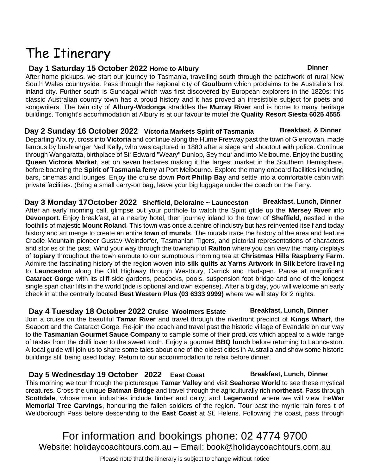# The Itinerary

## **Day 1 Saturday 15 October 2022 Home to Albury Dinner**

After home pickups, we start our journey to Tasmania, travelling south through the patchwork of rural New South Wales countryside. Pass through the regional city of **Goulburn** which proclaims to be Australia's first inland city. Further south is Gundagai which was first discovered by European explorers in the 1820s; this classic Australian country town has a proud history and it has proved an irresistible subject for poets and songwriters. The twin city of **Albury-Wodonga** straddles the **Murray River** and is home to many heritage buildings. Tonight's accommodation at Albury is at our favourite motel the **Quality Resort Siesta 6025 4555**

**Day 2 Sunday 16 October 2022** Victoria Markets Spirit of Tasmania Breakfast, & Dinner Departing Albury, cross into **Victoria** and continue along the Hume Freeway past the town of Glenrowan, made famous by bushranger Ned Kelly, who was captured in 1880 after a siege and shootout with police. Continue through Wangaratta, birthplace of Sir Edward "Weary" Dunlop, Seymour and into Melbourne. Enjoy the bustling **Queen Victoria Market**, set on seven hectares making it the largest market in the Southern Hemisphere, before boarding the **Spirit of Tasmania ferry** at Port Melbourne. Explore the many onboard facilities including bars, cinemas and lounges. Enjoy the cruise down **Port Phillip Bay** and settle into a comfortable cabin with private facilities. (Bring a small carry-on bag, leave your big luggage under the coach on the Ferry.

**Day 3 Monday 17October 2022 Sheffield, Deloraine ~ Launceston Breakfast, Lunch, Dinner** After an early morning call, glimpse out your porthole to watch the Spirit glide up the **Mersey River** into **Devonport**. Enjoy breakfast, at a nearby hotel, then journey inland to the town of **Sheffield**, nestled in the foothills of majestic **Mount Roland**. This town was once a centre of industry but has reinvented itself and today history and art merge to create an entire **town of murals**. The murals trace the history of the area and feature Cradle Mountain pioneer Gustav Weindorfer, Tasmanian Tigers, and pictorial representations of characters and stories of the past. Wind your way through the township of **Railton** where you can view the many displays of **topiary** throughout the town enroute to our sumptuous morning tea at **Christmas Hills Raspberry Farm**. Admire the fascinating history of the region woven into **silk quilts at Yarns Artwork in Silk** before travelling to **Launceston** along the Old Highway through Westbury, Carrick and Hadspen. Pause at magnificent **Cataract Gorge** with its cliff-side gardens, peacocks, pools, suspension foot bridge and one of the longest single span chair lifts in the world (ride is optional and own expense). After a big day, you will welcome an early check in at the centrally located **Best Western Plus (03 6333 9999)** where we will stay for 2 nights.

**Day 4 Tuesday 18 October 2022 Cruise Woolmers Estate Breakfast, Lunch, Dinner** Join a cruise on the beautiful **Tamar River** and travel through the riverfront precinct of **Kings Wharf**, the Seaport and the Cataract Gorge. Re-join the coach and travel past the historic village of Evandale on our way to the **Tasmanian Gourmet Sauce Company** to sample some of their products which appeal to a wide range of tastes from the chilli lover to the sweet tooth. Enjoy a gourmet **BBQ lunch** before returning to Launceston. A local guide will join us to share some tales about one of the oldest cities in Australia and show some historic buildings still being used today. Return to our accommodation to relax before dinner.

# **Day 5 Wednesday 19 October 2022 East Coast Breakfast, Lunch, Dinner**

This morning we tour through the picturesque **Tamar Valley** and visit **Seahorse World** to see these mystical creatures. Cross the unique **Batman Bridge** and travel through the agriculturally rich **northeast**. Pass through **Scottdale**, whose main industries include timber and dairy; and **Legerwood** where we will view the**War Memorial Tree Carvings**, honouring the fallen soldiers of the region. Tour past the myrtle rain fores t of Weldborough Pass before descending to the **East Coast** at St. Helens. Following the coast, pass through

For information and bookings phone: 02 4774 9700 Website: holidaycoachtours.com.au – Email: book@holidaycoachtours.com.au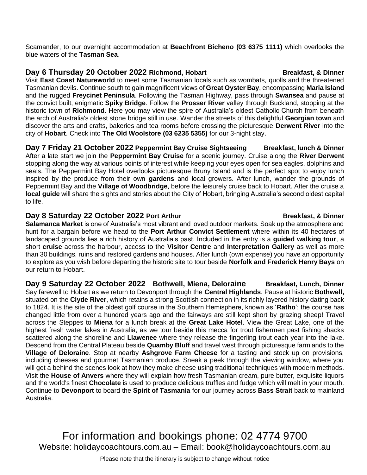Scamander, to our overnight accommodation at **Beachfront Bicheno (03 6375 1111)** which overlooks the blue waters of the **Tasman Sea**.

## **Day** 6 Thursday 20 October 2022 Richmond, Hobart Breakfast, & Dinner

Visit **East Coast Natureworld** to meet some Tasmanian locals such as wombats, quolls and the threatened Tasmanian devils. Continue south to gain magnificent views of **Great Oyster Bay**, encompassing **Maria Island** and the rugged **Freycinet Peninsula**. Following the Tasman Highway, pass through **Swansea** and pause at the convict built, enigmatic **Spiky Bridge**. Follow the **Prosser River** valley through Buckland, stopping at the historic town of **Richmond**. Here you may view the spire of Australia's oldest Catholic Church from beneath the arch of Australia's oldest stone bridge still in use. Wander the streets of this delightful **Georgian town** and discover the arts and crafts, bakeries and tea rooms before crossing the picturesque **Derwent River** into the city of **Hobart**. Check into **The Old Woolstore (03 6235 5355)** for our 3-night stay.

**Day 7 Friday 21 October 2022 Peppermint Bay Cruise Sightseeing Breakfast, lunch & Dinner** After a late start we join the **Peppermint Bay Cruise** for a scenic journey. Cruise along the **River Derwent** stopping along the way at various points of interest while keeping your eyes open for sea eagles, dolphins and seals. The Peppermint Bay Hotel overlooks picturesque Bruny Island and is the perfect spot to enjoy lunch inspired by the produce from their own **gardens** and local growers. After lunch, wander the grounds of Peppermint Bay and the **Village of Woodbridge**, before the leisurely cruise back to Hobart. After the cruise a **local guide** will share the sights and stories about the City of Hobart, bringing Australia's second oldest capital to life.

## **Day 8 Saturday 22 October 2022 Port Arthur Breakfast, & Dinner**

**Salamanca Market** is one of Australia's most vibrant and loved outdoor markets. Soak up the atmosphere and hunt for a bargain before we head to the **Port Arthur Convict Settlement** where within its 40 hectares of landscaped grounds lies a rich history of Australia's past. Included in the entry is a **guided walking tour**, a short **cruise** across the harbour, access to the **Visitor Centre** and **Interpretation Gallery** as well as more than 30 buildings, ruins and restored gardens and houses. After lunch (own expense) you have an opportunity to explore as you wish before departing the historic site to tour beside **Norfolk and Frederick Henry Bays** on our return to Hobart.

**Day 9 Saturday 22 October 2022 Bothwell, Miena, Deloraine Breakfast, Lunch, Dinner** Say farewell to Hobart as we return to Devonport through the **Central Highlands**. Pause at historic **Bothwell,** situated on the **Clyde River**, which retains a strong Scottish connection in its richly layered history dating back to 1824. It is the site of the oldest golf course in the Southern Hemisphere, known as '**Ratho**'; the course has changed little from over a hundred years ago and the fairways are still kept short by grazing sheep! Travel across the Steppes to **Miena** for a lunch break at the **Great Lake Hotel**. View the Great Lake, one of the highest fresh water lakes in Australia, as we tour beside this mecca for trout fishermen past fishing shacks scattered along the shoreline and **Liawenee** where they release the fingerling trout each year into the lake. Descend from the Central Plateau beside **Quamby Bluff** and travel west through picturesque farmlands to the **Village of Deloraine**. Stop at nearby **Ashgrove Farm Cheese** for a tasting and stock up on provisions, including cheeses and gourmet Tasmanian produce. Sneak a peek through the viewing window, where you will get a behind the scenes look at how they make cheese using traditional techniques with modern methods. Visit the **House of Anvers** where they will explain how fresh Tasmanian cream, pure butter, exquisite liquors and the world's finest **Chocolate** is used to produce delicious truffles and fudge which will melt in your mouth. Continue to **Devonport** to board the **Spirit of Tasmania** for our journey across **Bass Strait** back to mainland Australia.

For information and bookings phone: 02 4774 9700 Website: holidaycoachtours.com.au – Email: book@holidaycoachtours.com.au